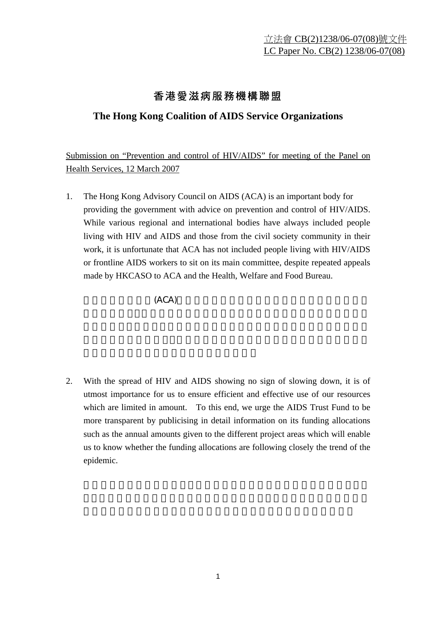## 香港愛滋病服務機構聯盟

## **The Hong Kong Coalition of AIDS Service Organizations**

Submission on "Prevention and control of HIV/AIDS" for meeting of the Panel on Health Services, 12 March 2007

1. The Hong Kong Advisory Council on AIDS (ACA) is an important body for providing the government with advice on prevention and control of HIV/AIDS. While various regional and international bodies have always included people living with HIV and AIDS and those from the civil society community in their work, it is unfortunate that ACA has not included people living with HIV/AIDS or frontline AIDS workers to sit on its main committee, despite repeated appeals made by HKCASO to ACA and the Health, Welfare and Food Bureau.

 $(ACA)$ 

2. With the spread of HIV and AIDS showing no sign of slowing down, it is of utmost importance for us to ensure efficient and effective use of our resources which are limited in amount. To this end, we urge the AIDS Trust Fund to be more transparent by publicising in detail information on its funding allocations such as the annual amounts given to the different project areas which will enable us to know whether the funding allocations are following closely the trend of the epidemic.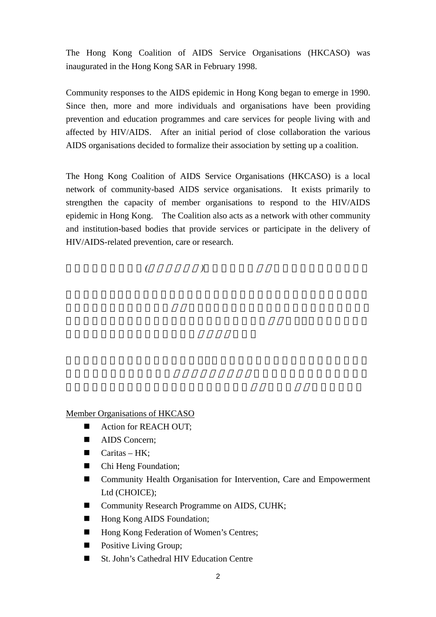The Hong Kong Coalition of AIDS Service Organisations (HKCASO) was inaugurated in the Hong Kong SAR in February 1998.

Community responses to the AIDS epidemic in Hong Kong began to emerge in 1990. Since then, more and more individuals and organisations have been providing prevention and education programmes and care services for people living with and affected by HIV/AIDS. After an initial period of close collaboration the various AIDS organisations decided to formalize their association by setting up a coalition.

The Hong Kong Coalition of AIDS Service Organisations (HKCASO) is a local network of community-based AIDS service organisations. It exists primarily to strengthen the capacity of member organisations to respond to the HIV/AIDS epidemic in Hong Kong. The Coalition also acts as a network with other community and institution-based bodies that provide services or participate in the delivery of HIV/AIDS-related prevention, care or research.

香港愛滋病服務聯盟*(*以下簡稱聯盟*)*於一九九八年二月在香港特別行政區成立。

Member Organisations of HKCASO

- Action for REACH OUT;
- AIDS Concern:
- $\blacksquare$  Caritas HK;
- Chi Heng Foundation;
- Community Health Organisation for Intervention, Care and Empowerment Ltd (CHOICE);
- Community Research Programme on AIDS, CUHK;
- Hong Kong AIDS Foundation;
- Hong Kong Federation of Women's Centres;
- **Positive Living Group;**
- St. John's Cathedral HIV Education Centre